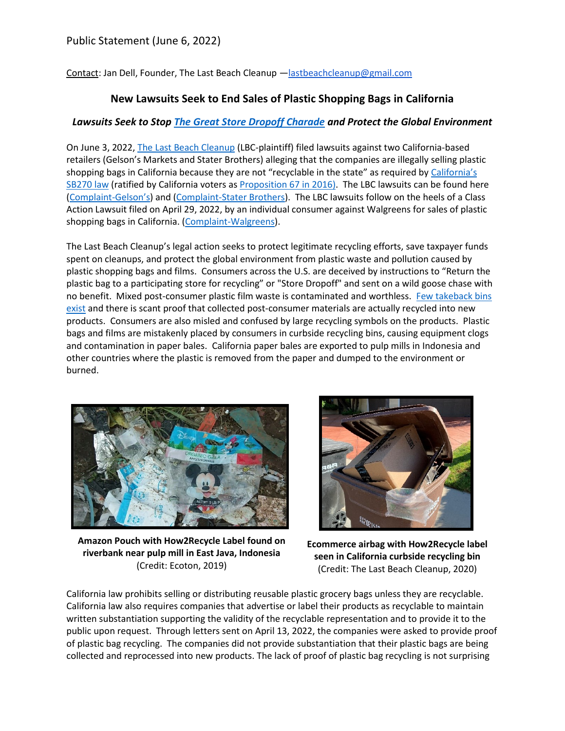Contact: Jan Dell, Founder, The Last Beach Cleanup —[lastbeachcleanup@gmail.com](mailto:lastbeachcleanup@gmail.com)

## **New Lawsuits Seek to End Sales of Plastic Shopping Bags in California**

## *Lawsuits Seek to Stop [The Great Store Dropoff Charade](https://www.treehugger.com/plastic-packaging-store-drop-off-label-5188913) and Protect the Global Environment*

On June 3, 2022, [The Last Beach Cleanup](https://www.lastbeachcleanup.org/) (LBC-plaintiff) filed lawsuits against two California-based retailers (Gelson's Markets and Stater Brothers) alleging that the companies are illegally selling plastic shopping bags in California because they are not "recyclable in the state" as required by [California](https://leginfo.legislature.ca.gov/faces/billTextClient.xhtml?bill_id=201320140SB270)'s [SB270 law](https://leginfo.legislature.ca.gov/faces/billTextClient.xhtml?bill_id=201320140SB270) (ratified by California voters as [Proposition 67 in 2016\)](https://ballotpedia.org/California_Proposition_67,_Plastic_Bag_Ban_Veto_Referendum_(2016)). The LBC lawsuits can be found here [\(Complaint-](https://954600ca-51b2-4722-b7e8-6df0cf8e257c.filesusr.com/ugd/dba7d7_a0cab1ed86e34e62a44d64402fa9ba18.pdf)Gelson's) and [\(Complaint-Stater Brothers\)](https://954600ca-51b2-4722-b7e8-6df0cf8e257c.filesusr.com/ugd/dba7d7_efa13994de5049f48a5afc2e79eeaf48.pdf). The LBC lawsuits follow on the heels of a Class Action Lawsuit filed on April 29, 2022, by an individual consumer against Walgreens for sales of plastic shopping bags in California. [\(Complaint-Walgreens\)](https://954600ca-51b2-4722-b7e8-6df0cf8e257c.filesusr.com/ugd/dba7d7_dee6da09642d4b95a80748a610db2986.pdf).

The Last Beach Cleanup's legal action seeks to protect legitimate recycling efforts, save taxpayer funds spent on cleanups, and protect the global environment from plastic waste and pollution caused by plastic shopping bags and films. Consumers across the U.S. are deceived by instructions to "Return the plastic bag to a participating store for recycling" or "Store Dropoff" and sent on a wild goose chase with no benefit. Mixed post-consumer plastic film waste is contaminated and worthless. [Few takeback bins](https://www.treehugger.com/plastic-packaging-store-drop-off-label-5188913)  [exist](https://www.treehugger.com/plastic-packaging-store-drop-off-label-5188913) and there is scant proof that collected post-consumer materials are actually recycled into new products. Consumers are also misled and confused by large recycling symbols on the products. Plastic bags and films are mistakenly placed by consumers in curbside recycling bins, causing equipment clogs and contamination in paper bales. California paper bales are exported to pulp mills in Indonesia and other countries where the plastic is removed from the paper and dumped to the environment or burned.



**Amazon Pouch with How2Recycle Label found on riverbank near pulp mill in East Java, Indonesia**  (Credit: Ecoton, 2019)



**Ecommerce airbag with How2Recycle label seen in California curbside recycling bin** (Credit: The Last Beach Cleanup, 2020)

California law prohibits selling or distributing reusable plastic grocery bags unless they are recyclable. California law also requires companies that advertise or label their products as recyclable to maintain written substantiation supporting the validity of the recyclable representation and to provide it to the public upon request. Through letters sent on April 13, 2022, the companies were asked to provide proof of plastic bag recycling. The companies did not provide substantiation that their plastic bags are being collected and reprocessed into new products. The lack of proof of plastic bag recycling is not surprising